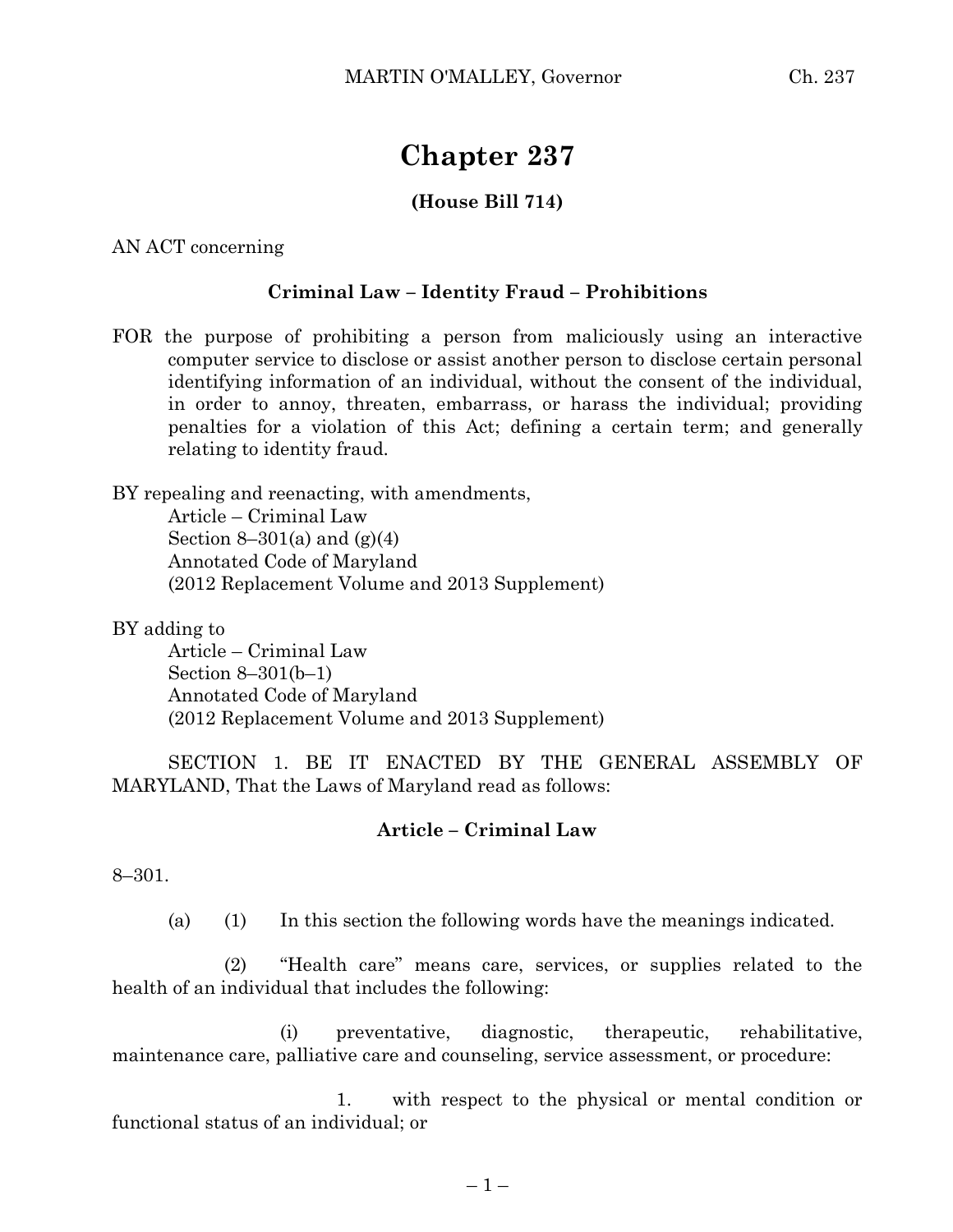# **Chapter 237**

## **(House Bill 714)**

AN ACT concerning

### **Criminal Law – Identity Fraud – Prohibitions**

FOR the purpose of prohibiting a person from maliciously using an interactive computer service to disclose or assist another person to disclose certain personal identifying information of an individual, without the consent of the individual, in order to annoy, threaten, embarrass, or harass the individual; providing penalties for a violation of this Act; defining a certain term; and generally relating to identity fraud.

BY repealing and reenacting, with amendments, Article – Criminal Law Section 8–301(a) and  $(g)(4)$ Annotated Code of Maryland (2012 Replacement Volume and 2013 Supplement)

BY adding to

Article – Criminal Law Section 8–301(b–1) Annotated Code of Maryland (2012 Replacement Volume and 2013 Supplement)

SECTION 1. BE IT ENACTED BY THE GENERAL ASSEMBLY OF MARYLAND, That the Laws of Maryland read as follows:

#### **Article – Criminal Law**

8–301.

(a) (1) In this section the following words have the meanings indicated.

(2) "Health care" means care, services, or supplies related to the health of an individual that includes the following:

(i) preventative, diagnostic, therapeutic, rehabilitative, maintenance care, palliative care and counseling, service assessment, or procedure:

1. with respect to the physical or mental condition or functional status of an individual; or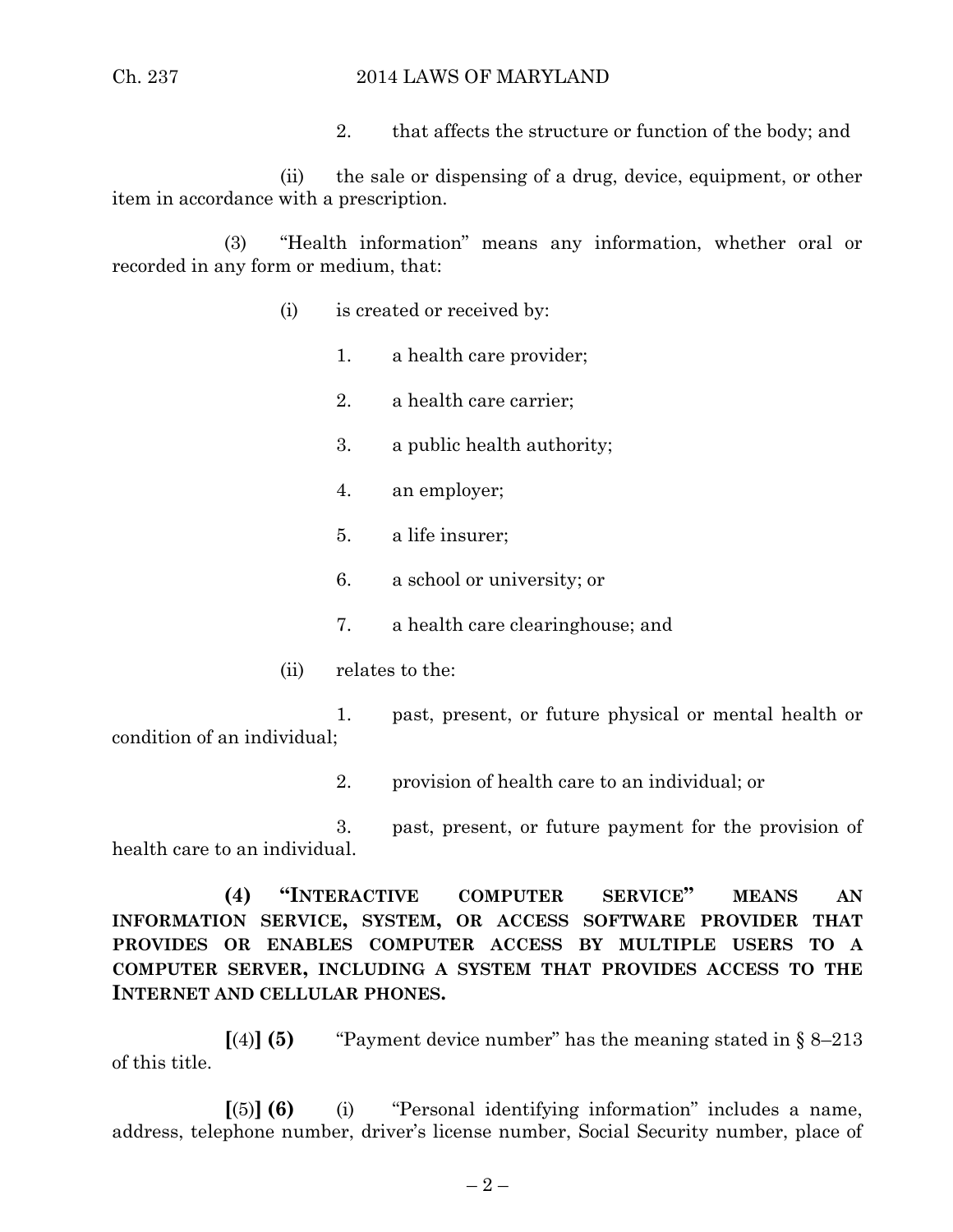#### Ch. 237 2014 LAWS OF MARYLAND

2. that affects the structure or function of the body; and

(ii) the sale or dispensing of a drug, device, equipment, or other item in accordance with a prescription.

(3) "Health information" means any information, whether oral or recorded in any form or medium, that:

- (i) is created or received by:
	- 1. a health care provider;
	- 2. a health care carrier;
	- 3. a public health authority;
	- 4. an employer;
	- 5. a life insurer;
	- 6. a school or university; or
	- 7. a health care clearinghouse; and
- (ii) relates to the:

1. past, present, or future physical or mental health or condition of an individual;

2. provision of health care to an individual; or

3. past, present, or future payment for the provision of health care to an individual.

**(4) "INTERACTIVE COMPUTER SERVICE" MEANS AN INFORMATION SERVICE, SYSTEM, OR ACCESS SOFTWARE PROVIDER THAT PROVIDES OR ENABLES COMPUTER ACCESS BY MULTIPLE USERS TO A COMPUTER SERVER, INCLUDING A SYSTEM THAT PROVIDES ACCESS TO THE INTERNET AND CELLULAR PHONES.**

 $\llbracket (4) \rrbracket$  **(5)** "Payment device number" has the meaning stated in § 8–213 of this title.

**[**(5)**] (6)** (i) "Personal identifying information" includes a name, address, telephone number, driver's license number, Social Security number, place of

 $-2-$